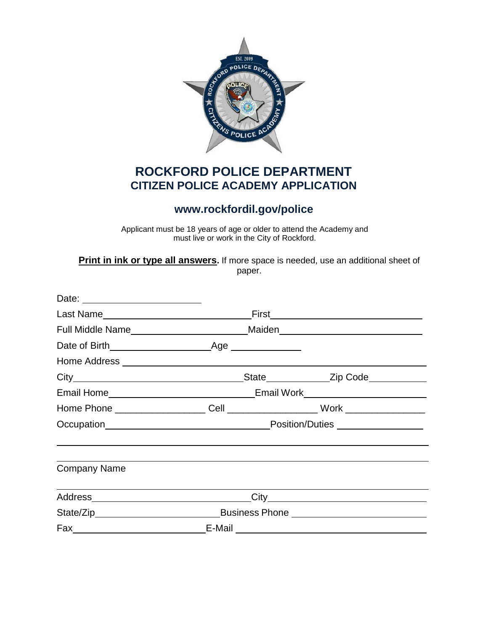

## **ROCKFORD POLICE DEPARTMENT CITIZEN POLICE ACADEMY APPLICATION**

## **[www.rockfordil.gov/police](http://www.rockfordil.gov/police)**

Applicant must be 18 years of age or older to attend the Academy and must live or work in the City of Rockford.

**Print in ink or type all answers.** If more space is needed, use an additional sheet of paper.

| <b>Company Name</b> |  |  |  |
|---------------------|--|--|--|
|                     |  |  |  |
|                     |  |  |  |
|                     |  |  |  |
|                     |  |  |  |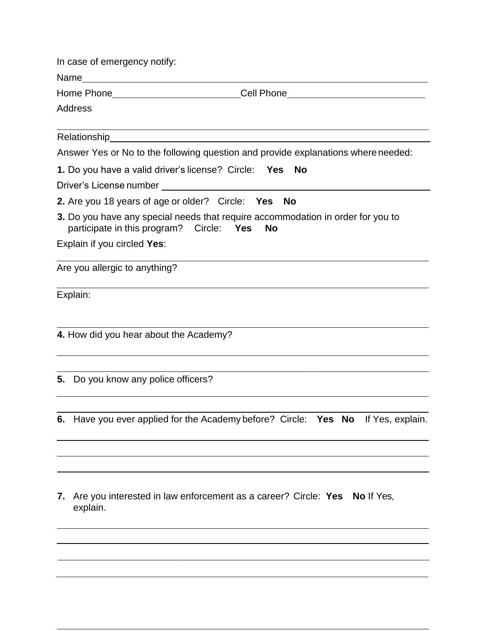|    | In case of emergency notify:                                                                                                                       |
|----|----------------------------------------------------------------------------------------------------------------------------------------------------|
|    |                                                                                                                                                    |
|    | Cell Phone________________________                                                                                                                 |
|    | <b>Address</b>                                                                                                                                     |
|    |                                                                                                                                                    |
|    | Answer Yes or No to the following question and provide explanations where needed:                                                                  |
|    | 1. Do you have a valid driver's license? Circle: Yes<br><b>No</b>                                                                                  |
|    | Driver's License number                                                                                                                            |
|    | 2. Are you 18 years of age or older? Circle: Yes<br>No                                                                                             |
|    | 3. Do you have any special needs that require accommodation in order for you to<br>participate in this program? Circle:<br><b>Yes</b><br><b>No</b> |
|    | Explain if you circled Yes:                                                                                                                        |
|    | Are you allergic to anything?                                                                                                                      |
|    | Explain:                                                                                                                                           |
|    | 4. How did you hear about the Academy?                                                                                                             |
|    | 5. Do you know any police officers?                                                                                                                |
|    |                                                                                                                                                    |
|    | 6. Have you ever applied for the Academy before? Circle: Yes No If Yes, explain.                                                                   |
|    |                                                                                                                                                    |
|    |                                                                                                                                                    |
| 7. | Are you interested in law enforcement as a career? Circle: Yes<br><b>No</b> If Yes,<br>explain.                                                    |
|    |                                                                                                                                                    |